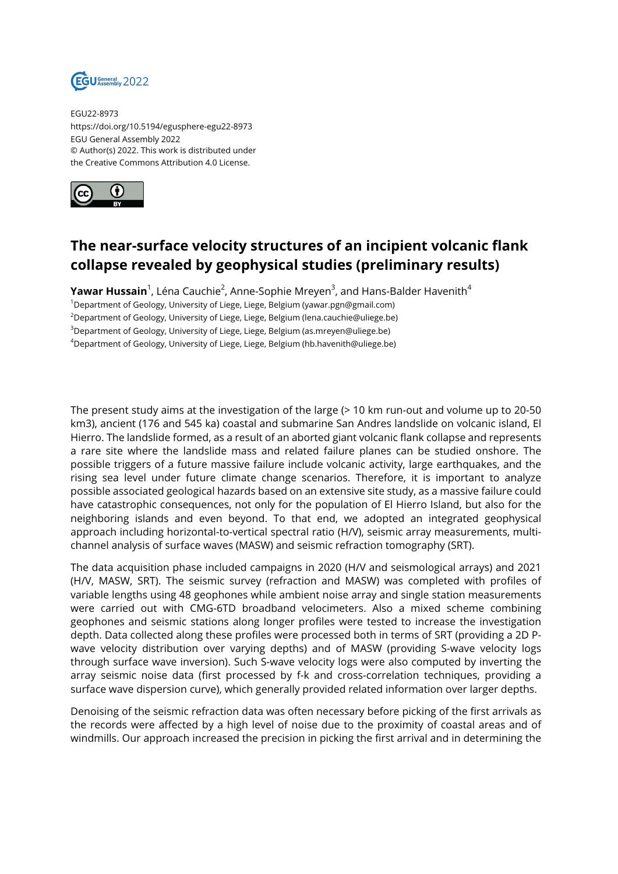

EGU22-8973 https://doi.org/10.5194/egusphere-egu22-8973 EGU General Assembly 2022 © Author(s) 2022. This work is distributed under the Creative Commons Attribution 4.0 License.



## **The near-surface velocity structures of an incipient volcanic flank collapse revealed by geophysical studies (preliminary results)**

**Yawar Hussain**<sup>1</sup>, Léna Cauchie<sup>2</sup>, Anne-Sophie Mreyen<sup>3</sup>, and Hans-Balder Havenith<sup>4</sup>

<sup>1</sup>Department of Geology, University of Liege, Liege, Belgium (yawar.pgn@gmail.com) <sup>2</sup>Department of Geology, University of Liege, Liege, Belgium (lena.cauchie@uliege.be)

<sup>3</sup>Department of Geology, University of Liege, Liege, Belgium (as.mreyen@uliege.be)

<sup>4</sup>Department of Geology, University of Liege, Liege, Belgium (hb.havenith@uliege.be)

The present study aims at the investigation of the large (> 10 km run-out and volume up to 20-50 km3), ancient (176 and 545 ka) coastal and submarine San Andres landslide on volcanic island, El Hierro. The landslide formed, as a result of an aborted giant volcanic flank collapse and represents a rare site where the landslide mass and related failure planes can be studied onshore. The possible triggers of a future massive failure include volcanic activity, large earthquakes, and the rising sea level under future climate change scenarios. Therefore, it is important to analyze possible associated geological hazards based on an extensive site study, as a massive failure could have catastrophic consequences, not only for the population of El Hierro Island, but also for the neighboring islands and even beyond. To that end, we adopted an integrated geophysical approach including horizontal-to-vertical spectral ratio (H/V), seismic array measurements, multichannel analysis of surface waves (MASW) and seismic refraction tomography (SRT).

The data acquisition phase included campaigns in 2020 (H/V and seismological arrays) and 2021 (H/V, MASW, SRT). The seismic survey (refraction and MASW) was completed with profiles of variable lengths using 48 geophones while ambient noise array and single station measurements were carried out with CMG-6TD broadband velocimeters. Also a mixed scheme combining geophones and seismic stations along longer profiles were tested to increase the investigation depth. Data collected along these profiles were processed both in terms of SRT (providing a 2D Pwave velocity distribution over varying depths) and of MASW (providing S-wave velocity logs through surface wave inversion). Such S-wave velocity logs were also computed by inverting the array seismic noise data (first processed by f-k and cross-correlation techniques, providing a surface wave dispersion curve), which generally provided related information over larger depths.

Denoising of the seismic refraction data was often necessary before picking of the first arrivals as the records were affected by a high level of noise due to the proximity of coastal areas and of windmills. Our approach increased the precision in picking the first arrival and in determining the